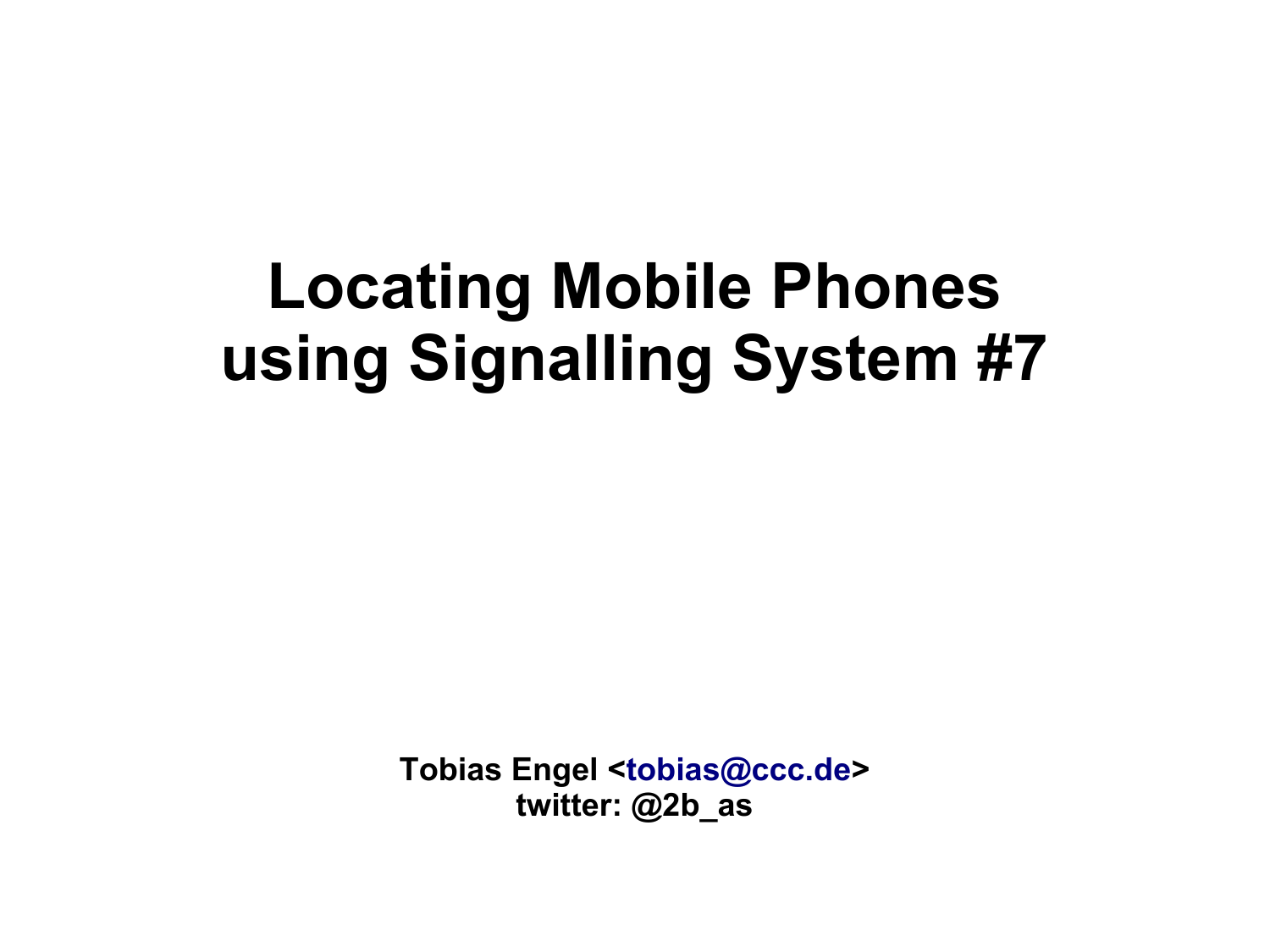# **Locating Mobile Phones using Signalling System #7**

**Tobias Engel [<tobias@ccc.de](mailto:tobias@ccc.de)> twitter: @2b\_as**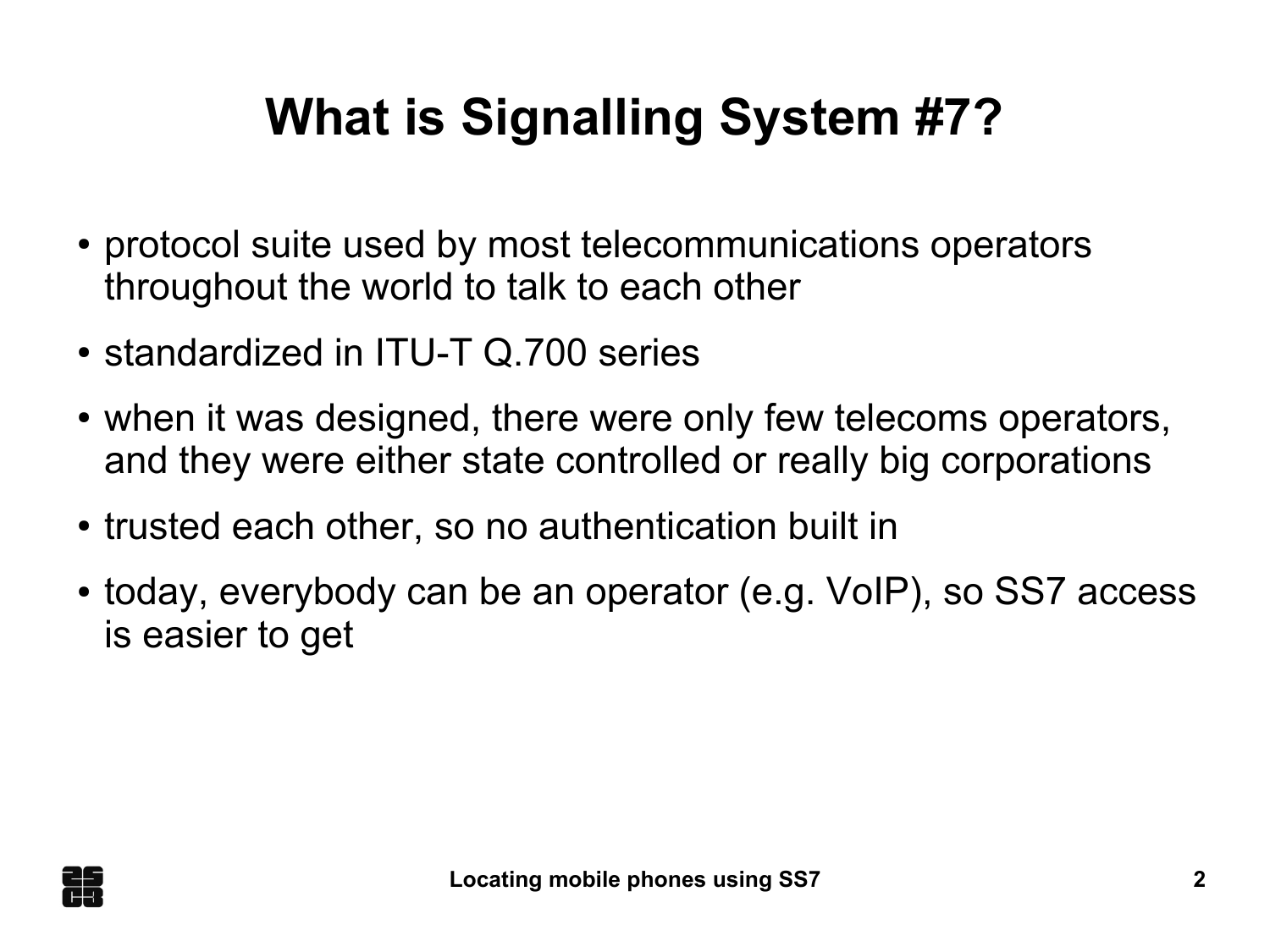# **What is Signalling System #7?**

- protocol suite used by most telecommunications operators throughout the world to talk to each other
- standardized in ITU-T Q.700 series
- when it was designed, there were only few telecoms operators, and they were either state controlled or really big corporations
- trusted each other, so no authentication built in
- today, everybody can be an operator (e.g. VoIP), so SS7 access is easier to get

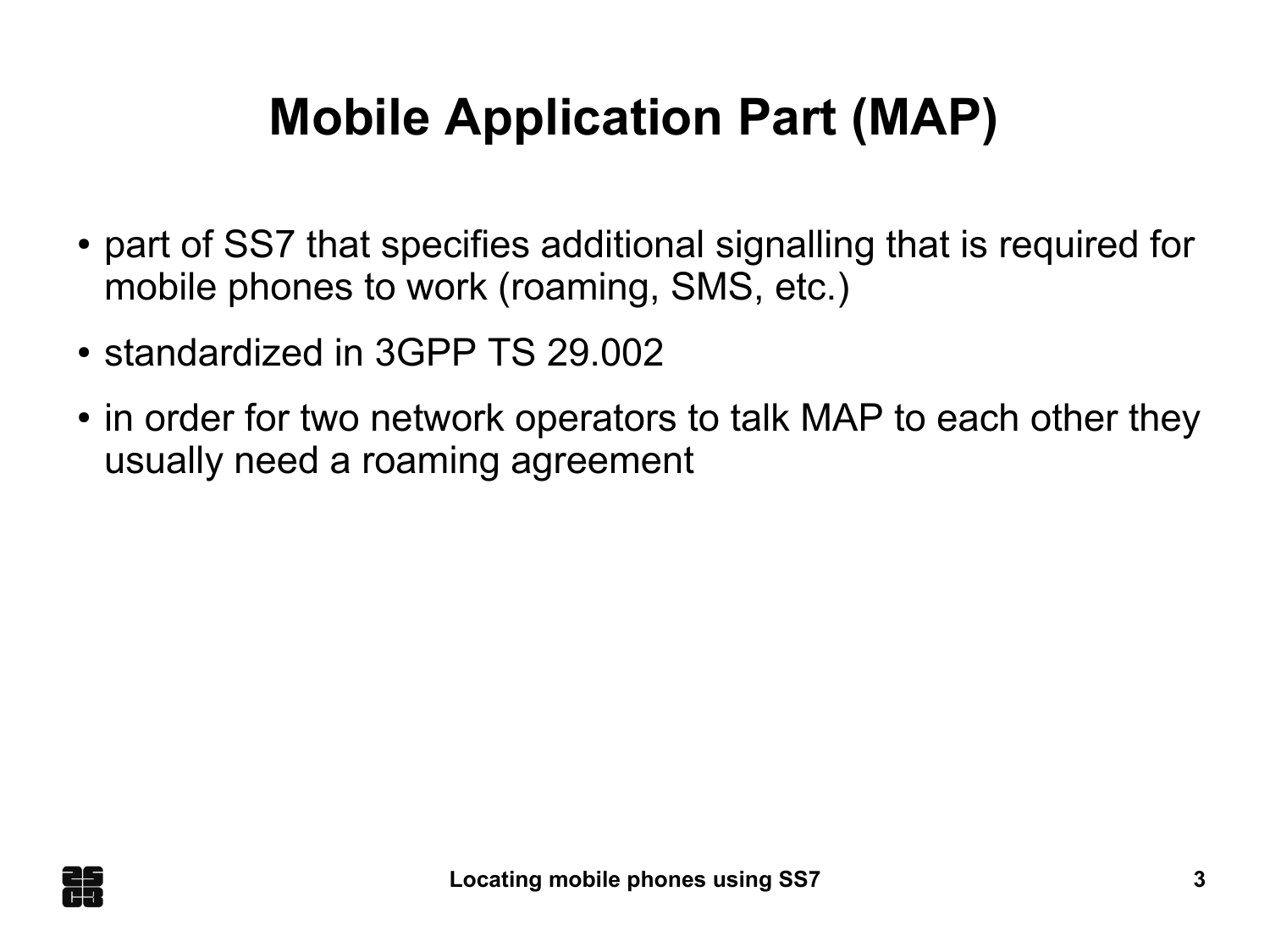# **Mobile Application Part (MAP)**

- part of SS7 that specifies additional signalling that is required for mobile phones to work (roaming, SMS, etc.)
- standardized in 3GPP TS 29.002
- in order for two network operators to talk MAP to each other they usually need a roaming agreement

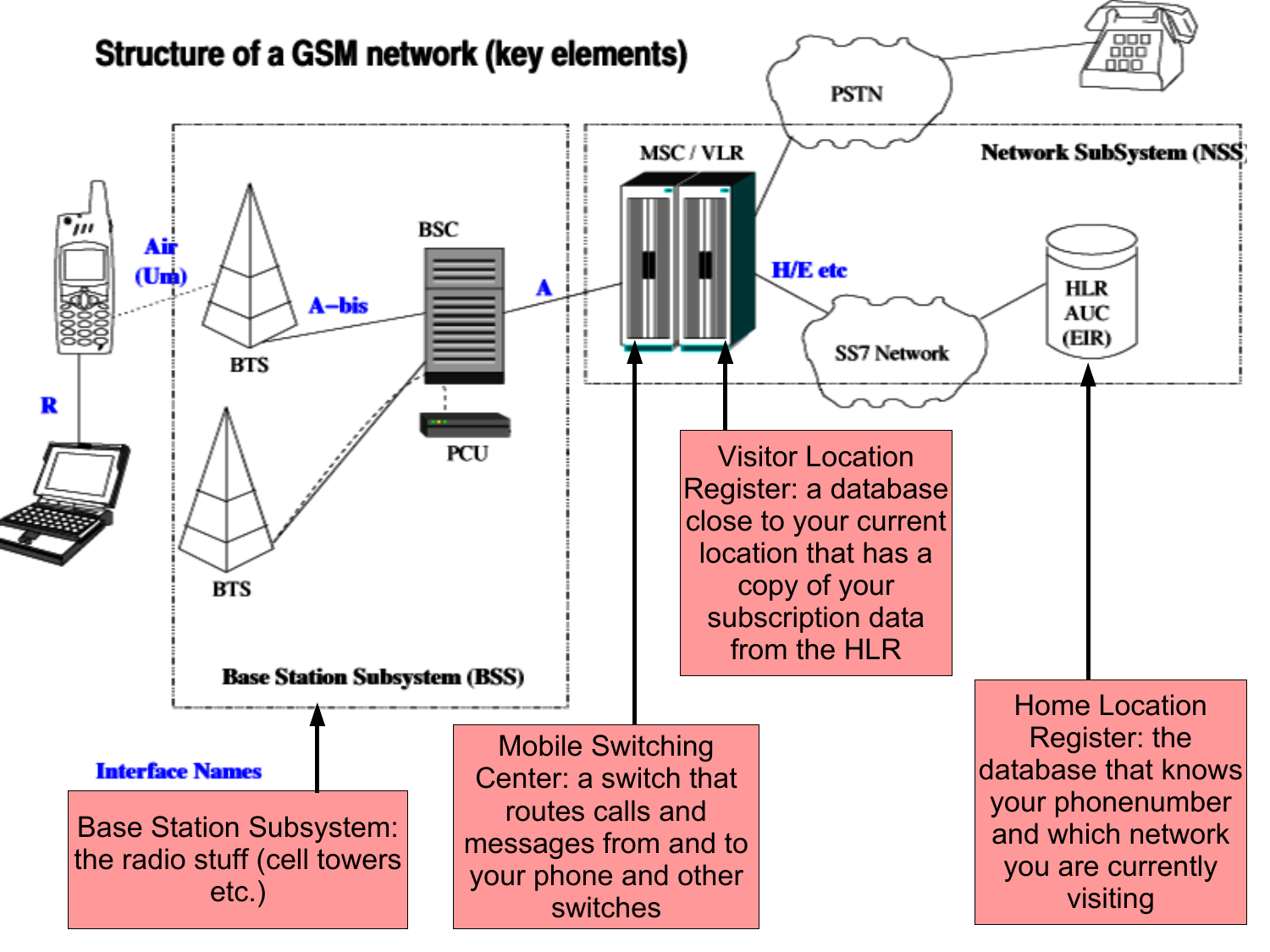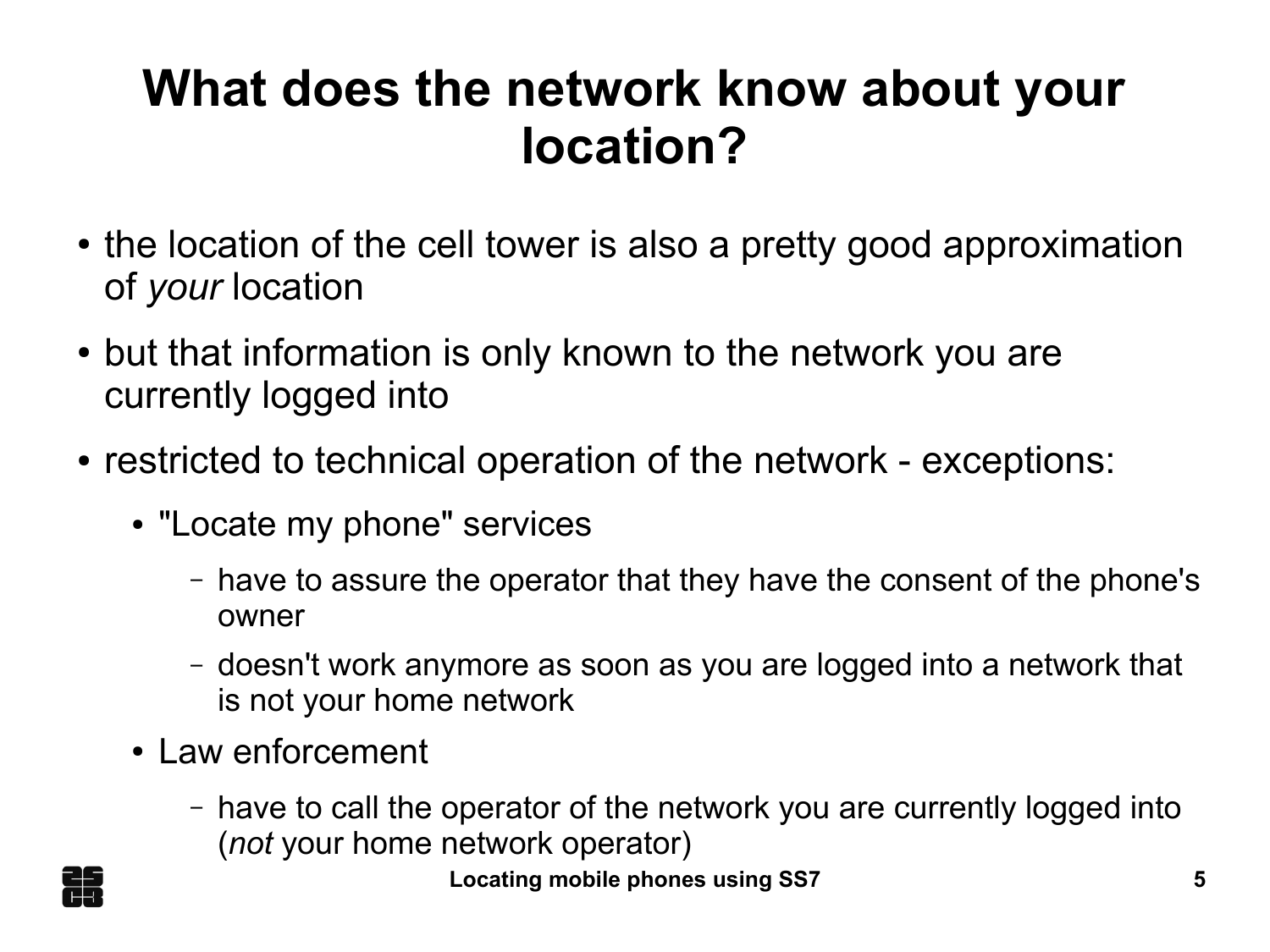#### **What does the network know about your location?**

- the location of the cell tower is also a pretty good approximation of *your* location
- but that information is only known to the network you are currently logged into
- restricted to technical operation of the network exceptions:
	- "Locate my phone" services
		- have to assure the operator that they have the consent of the phone's owner
		- doesn't work anymore as soon as you are logged into a network that is not your home network
	- Law enforcement
		- have to call the operator of the network you are currently logged into (*not* your home network operator)

**Locating mobile phones using SS7 5**

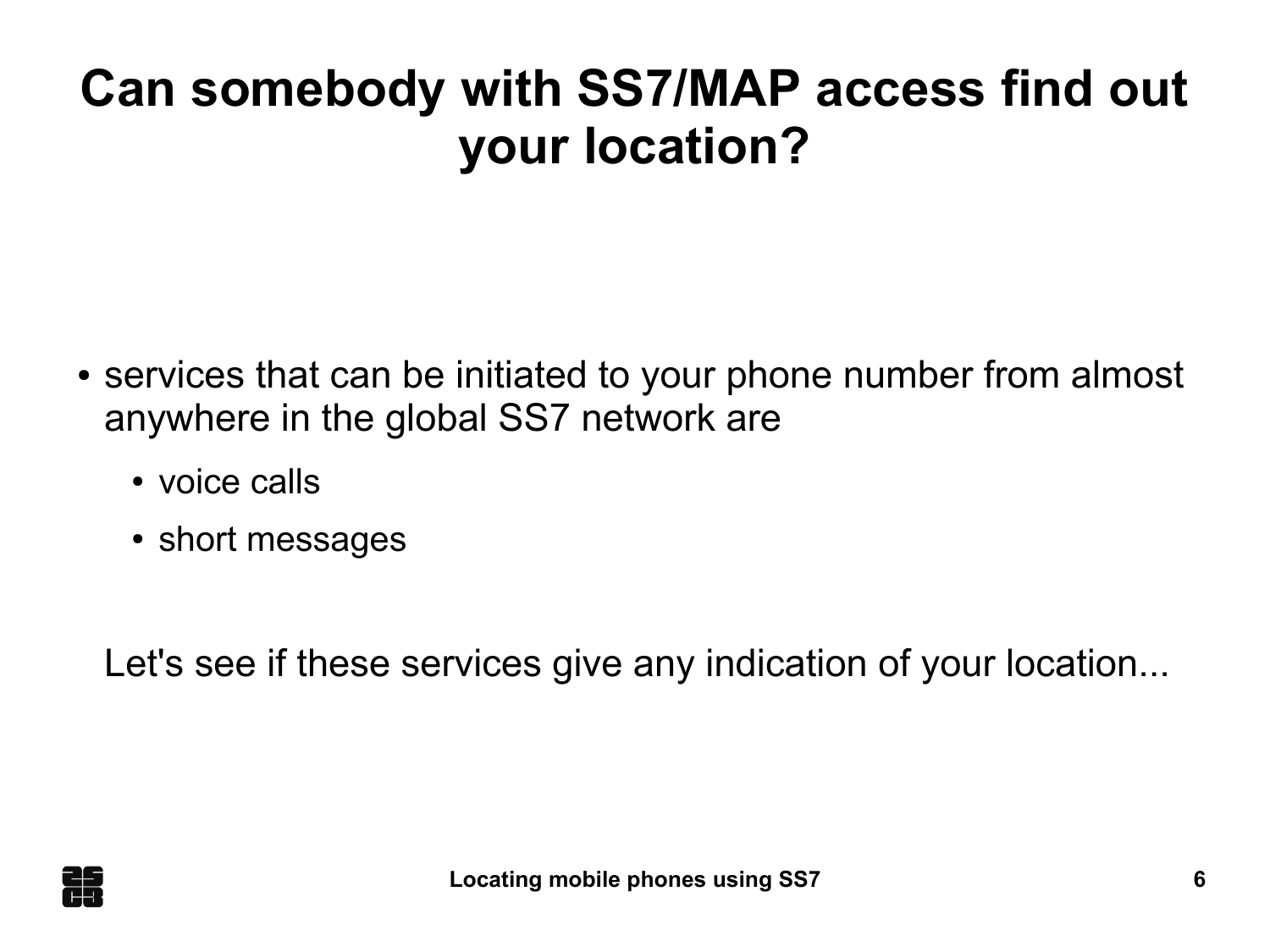#### **Can somebody with SS7/MAP access find out your location?**

- services that can be initiated to your phone number from almost anywhere in the global SS7 network are
	- voice calls
	- short messages

Let's see if these services give any indication of your location...

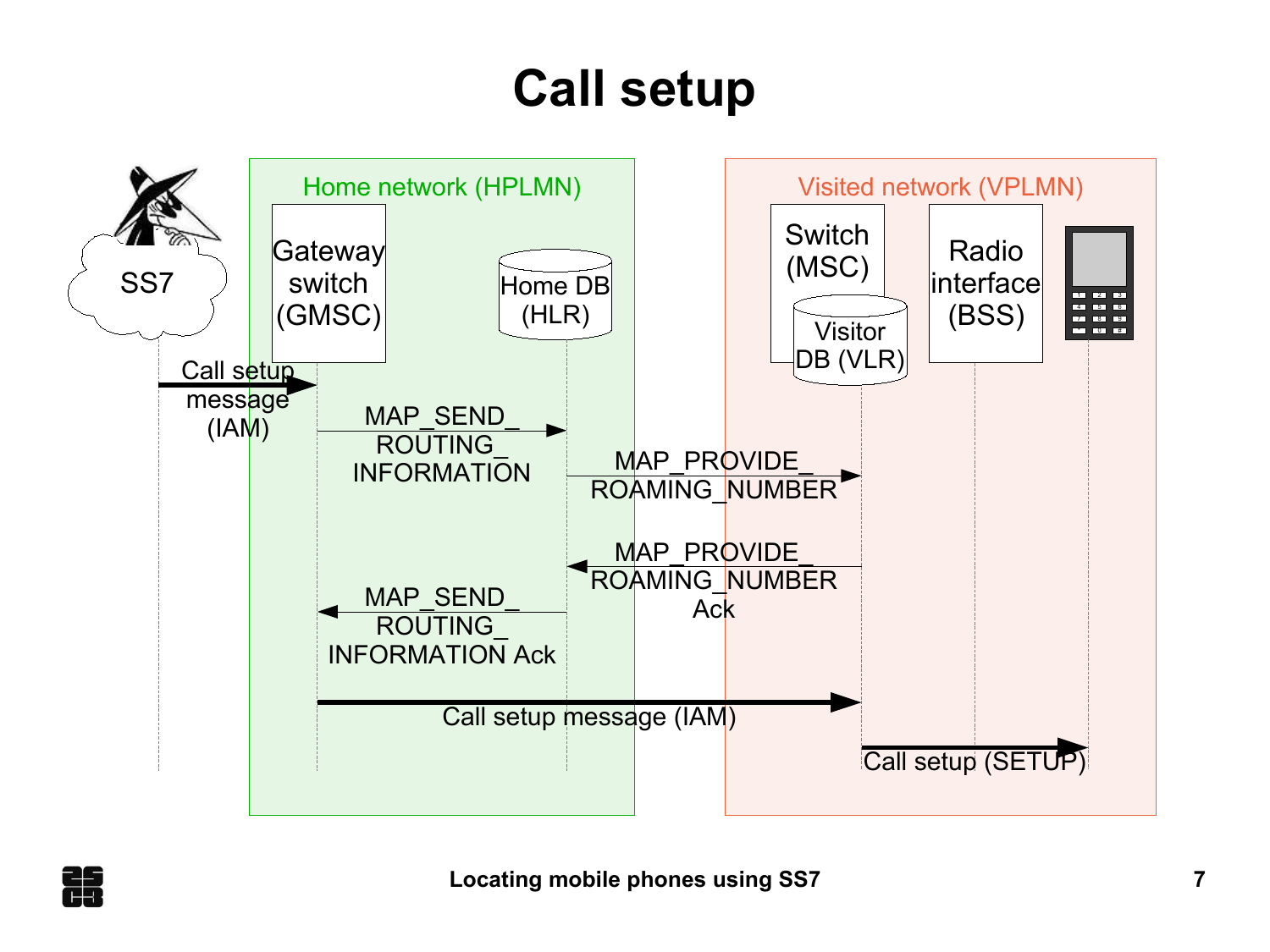# **Call setup**



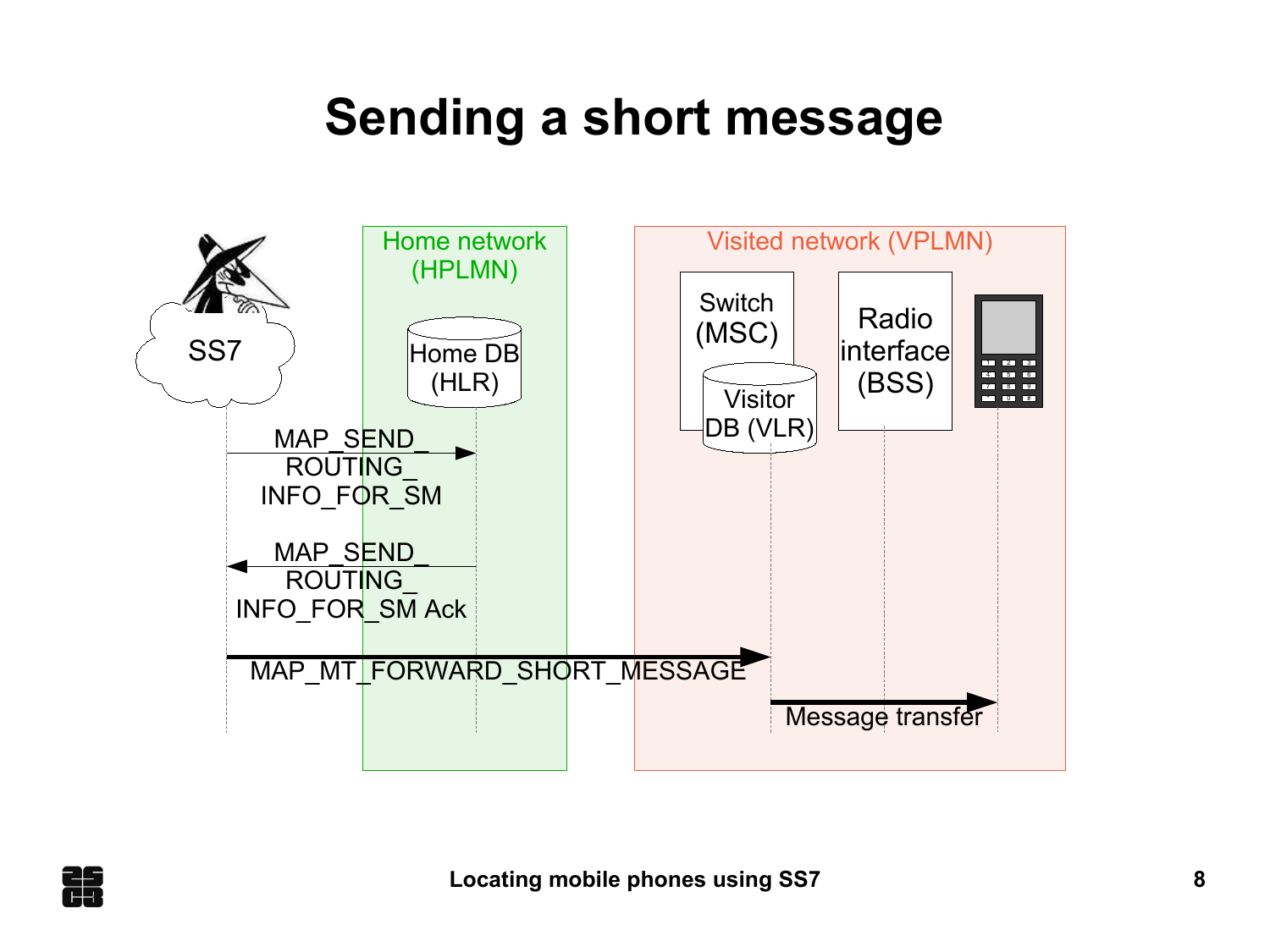#### **Sending a short message**



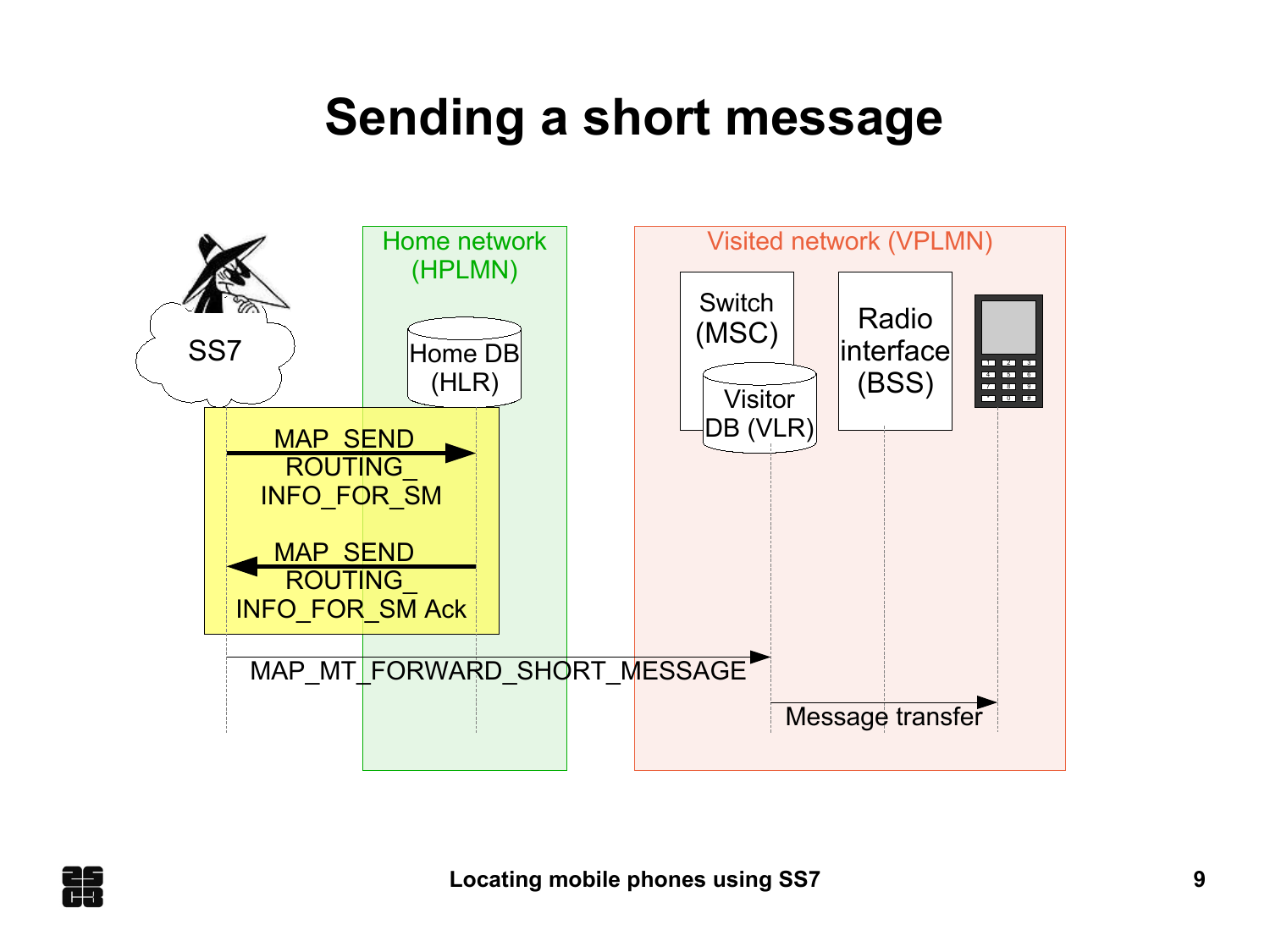#### **Sending a short message**



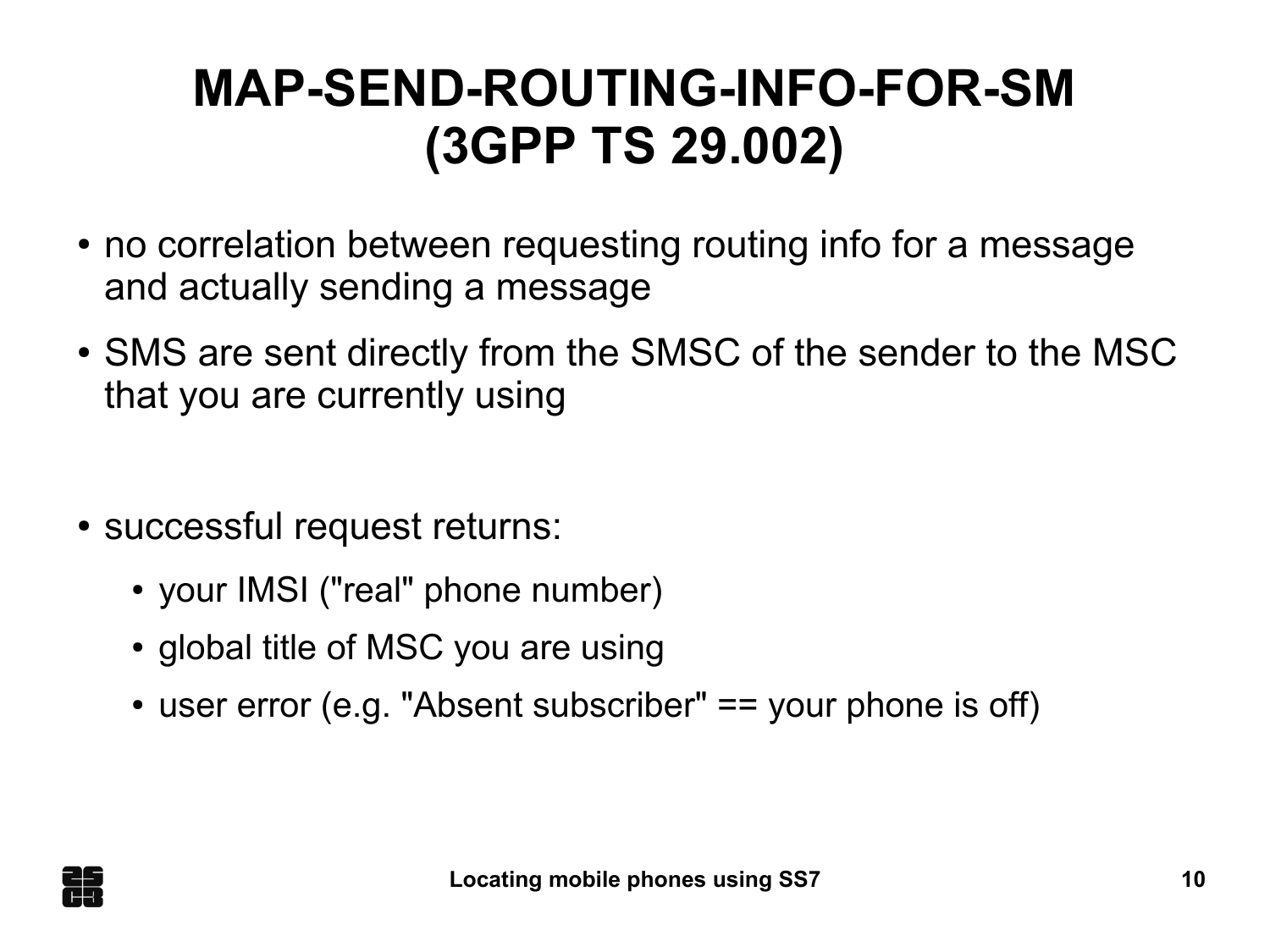## **MAP-SEND-ROUTING-INFO-FOR-SM (3GPP TS 29.002)**

- no correlation between requesting routing info for a message and actually sending a message
- SMS are sent directly from the SMSC of the sender to the MSC that you are currently using
- successful request returns:
	- your IMSI ("real" phone number)
	- global title of MSC you are using
	- user error (e.g. "Absent subscriber"  $==$  your phone is off)

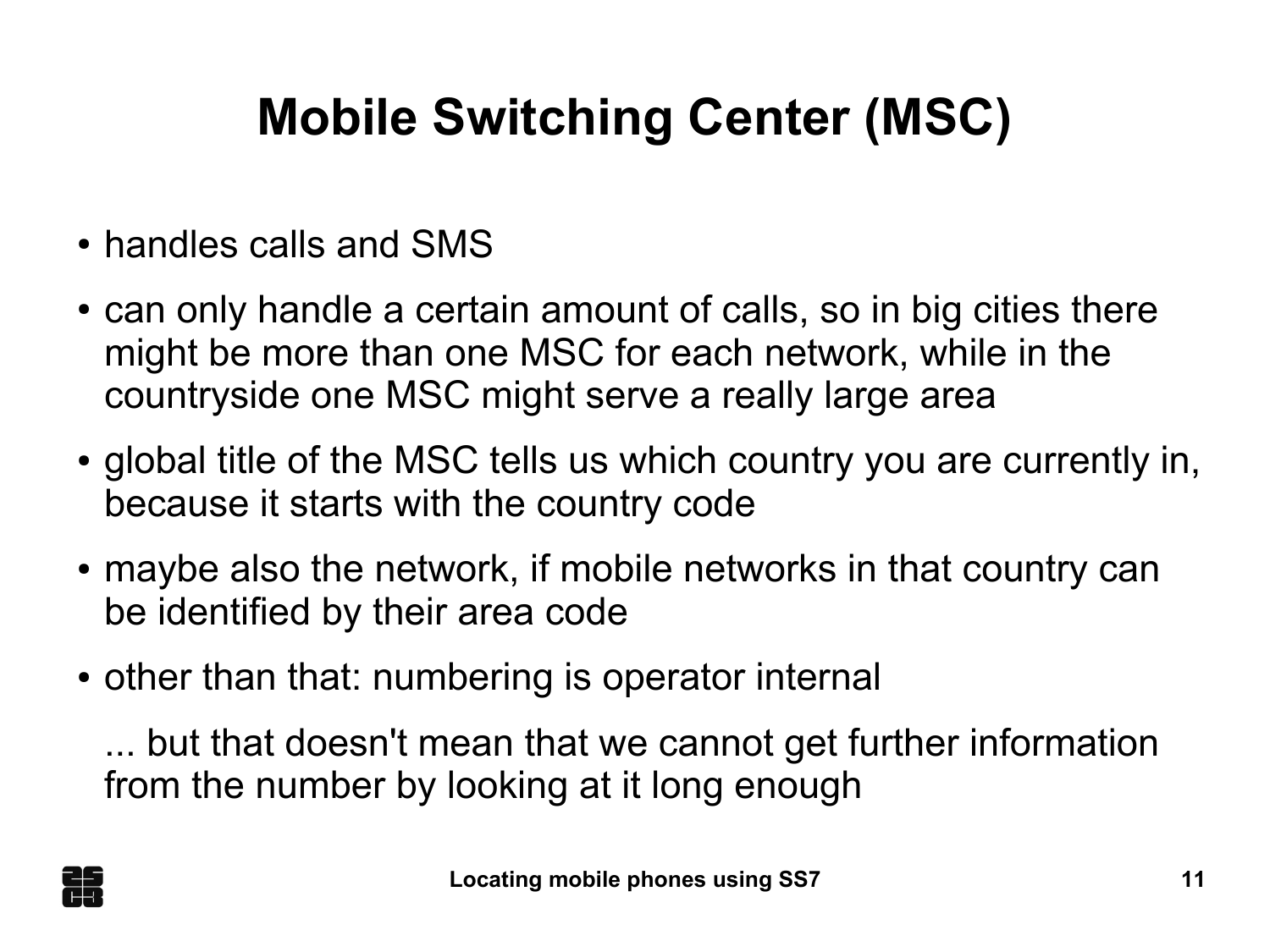# **Mobile Switching Center (MSC)**

- handles calls and SMS
- can only handle a certain amount of calls, so in big cities there might be more than one MSC for each network, while in the countryside one MSC might serve a really large area
- global title of the MSC tells us which country you are currently in, because it starts with the country code
- maybe also the network, if mobile networks in that country can be identified by their area code
- other than that: numbering is operator internal

... but that doesn't mean that we cannot get further information from the number by looking at it long enough

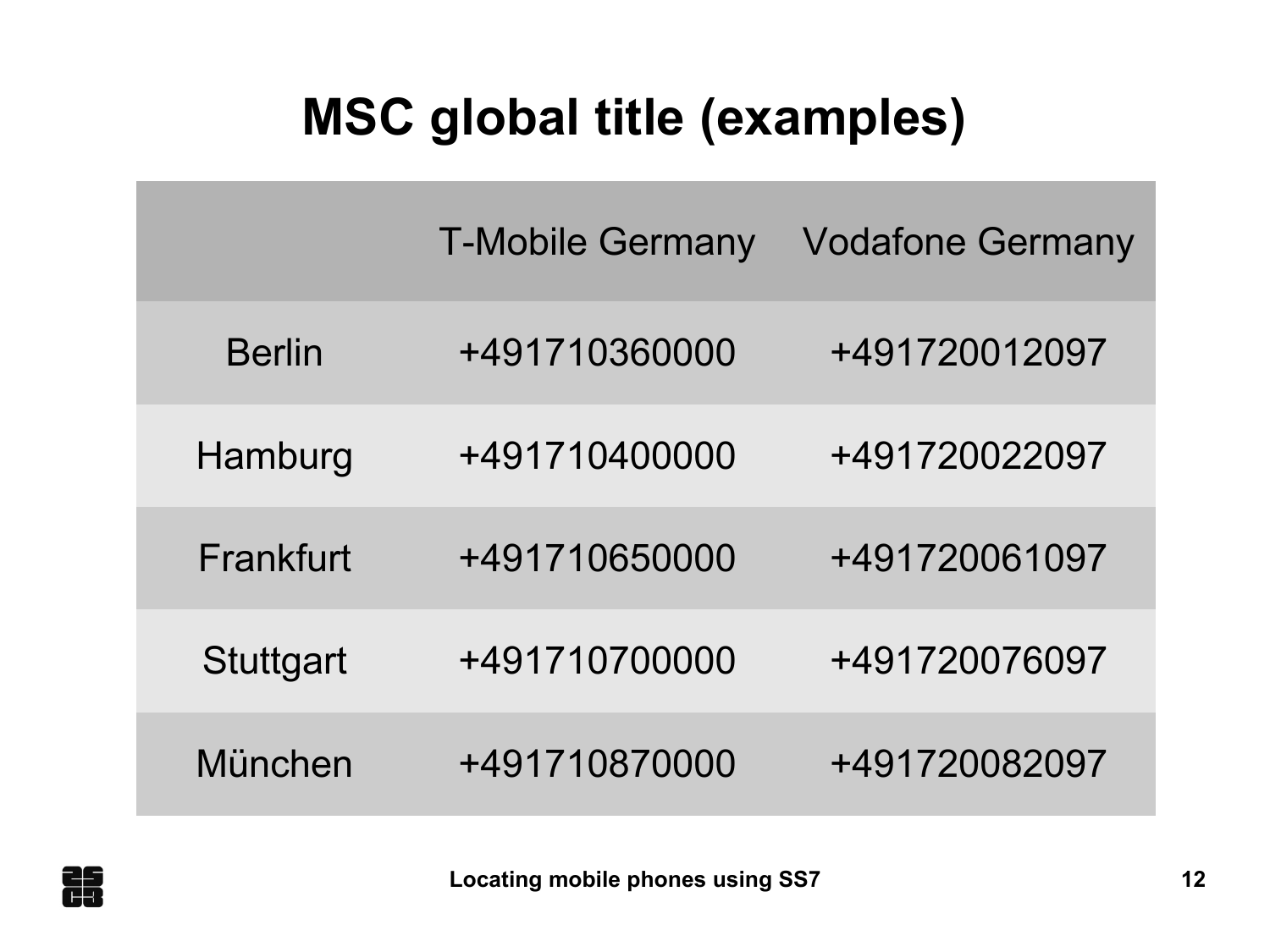## **MSC global title (examples)**

|                  | <b>T-Mobile Germany</b> | <b>Vodafone Germany</b> |
|------------------|-------------------------|-------------------------|
| <b>Berlin</b>    | +491710360000           | +491720012097           |
| Hamburg          | +491710400000           | +491720022097           |
| Frankfurt        | +491710650000           | +491720061097           |
| <b>Stuttgart</b> | +491710700000           | +491720076097           |
| München          | +491710870000           | +491720082097           |

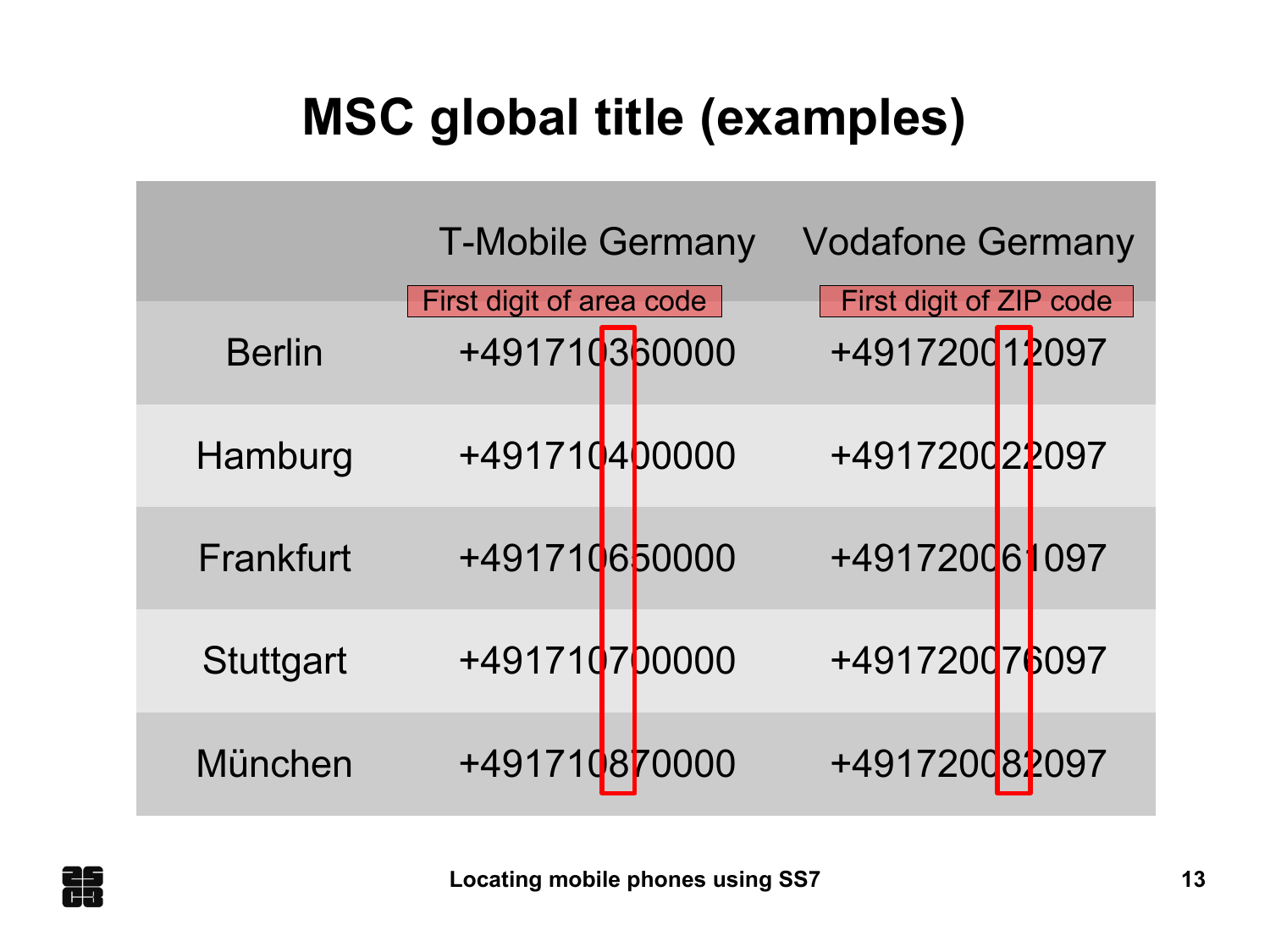## **MSC global title (examples)**

|                  | <b>T-Mobile Germany</b>                   | <b>Vodafone Germany</b>                         |
|------------------|-------------------------------------------|-------------------------------------------------|
| <b>Berlin</b>    | First digit of area code<br>+491710360000 | <b>First digit of ZIP code</b><br>+491720012097 |
| Hamburg          | +491710400000                             | +491720022097                                   |
| Frankfurt        | +491710650000                             | +491720061097                                   |
| <b>Stuttgart</b> | +491710700000                             | +491720076097                                   |
| München          | +491710870000                             | +491720082097                                   |

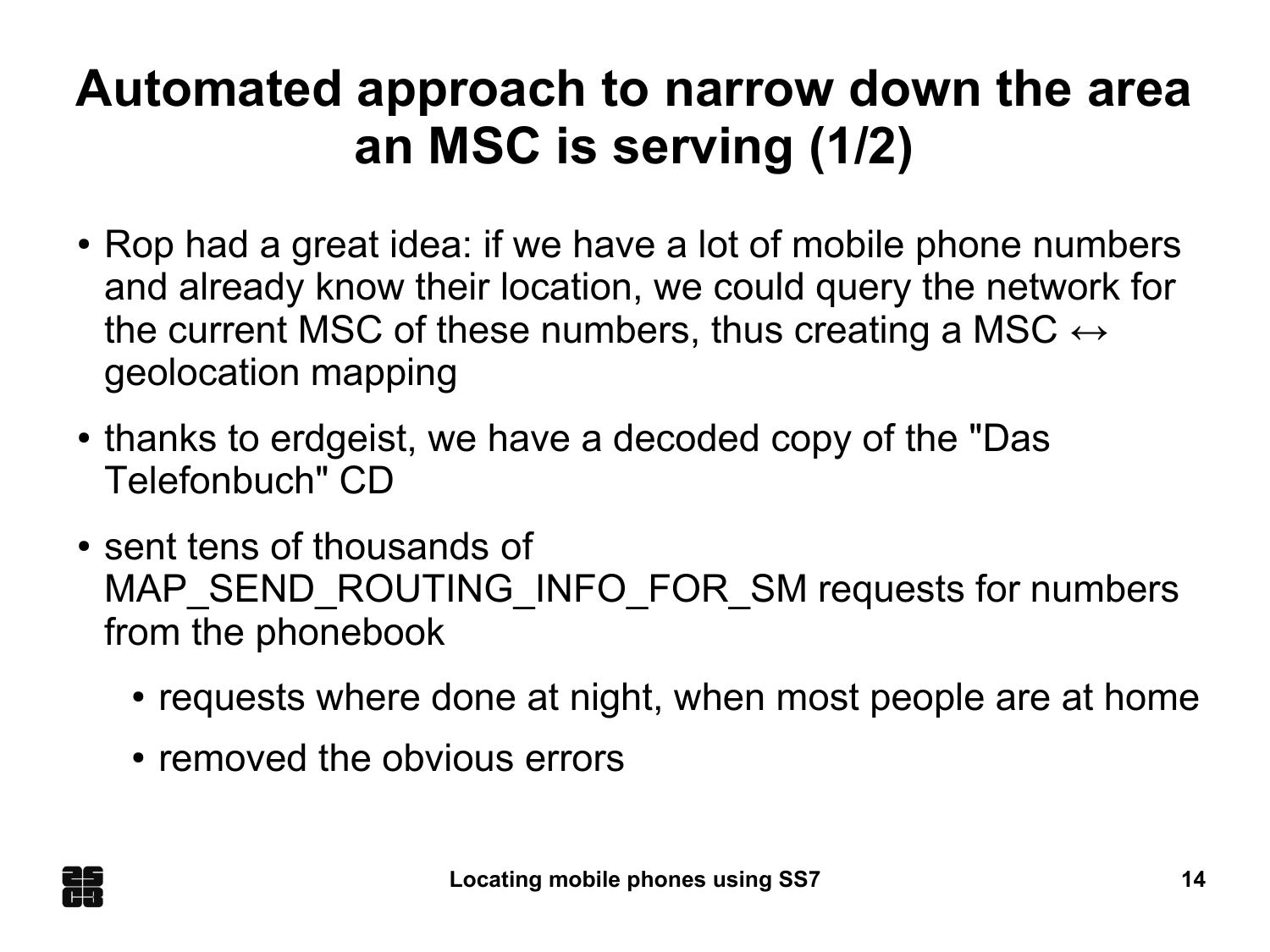## **Automated approach to narrow down the area an MSC is serving (1/2)**

- Rop had a great idea: if we have a lot of mobile phone numbers and already know their location, we could query the network for the current MSC of these numbers, thus creating a MSC  $\leftrightarrow$ geolocation mapping
- thanks to erdgeist, we have a decoded copy of the "Das" Telefonbuch" CD
- sent tens of thousands of MAP\_SEND\_ROUTING\_INFO\_FOR\_SM requests for numbers from the phonebook
	- requests where done at night, when most people are at home
	- removed the obvious errors

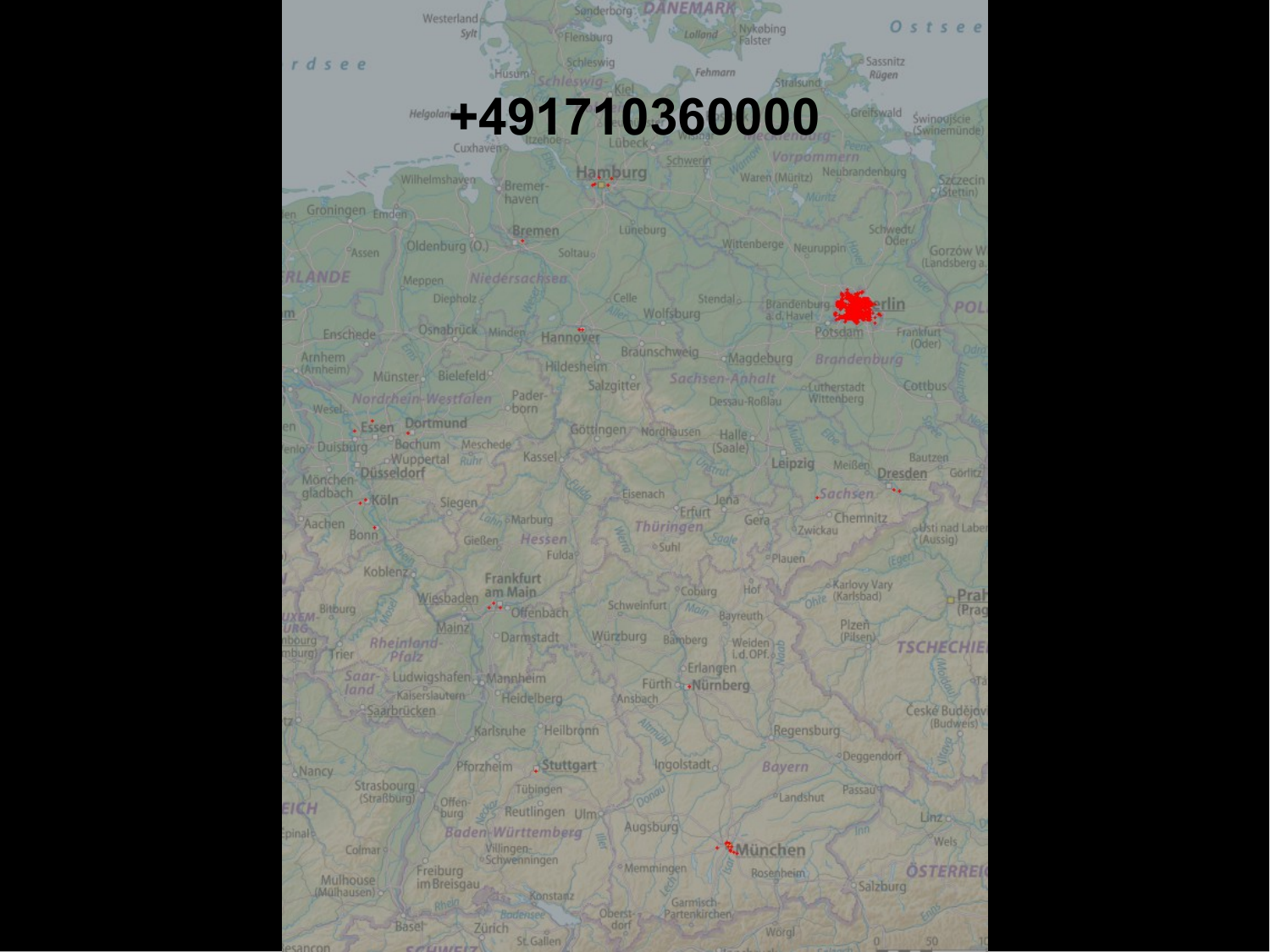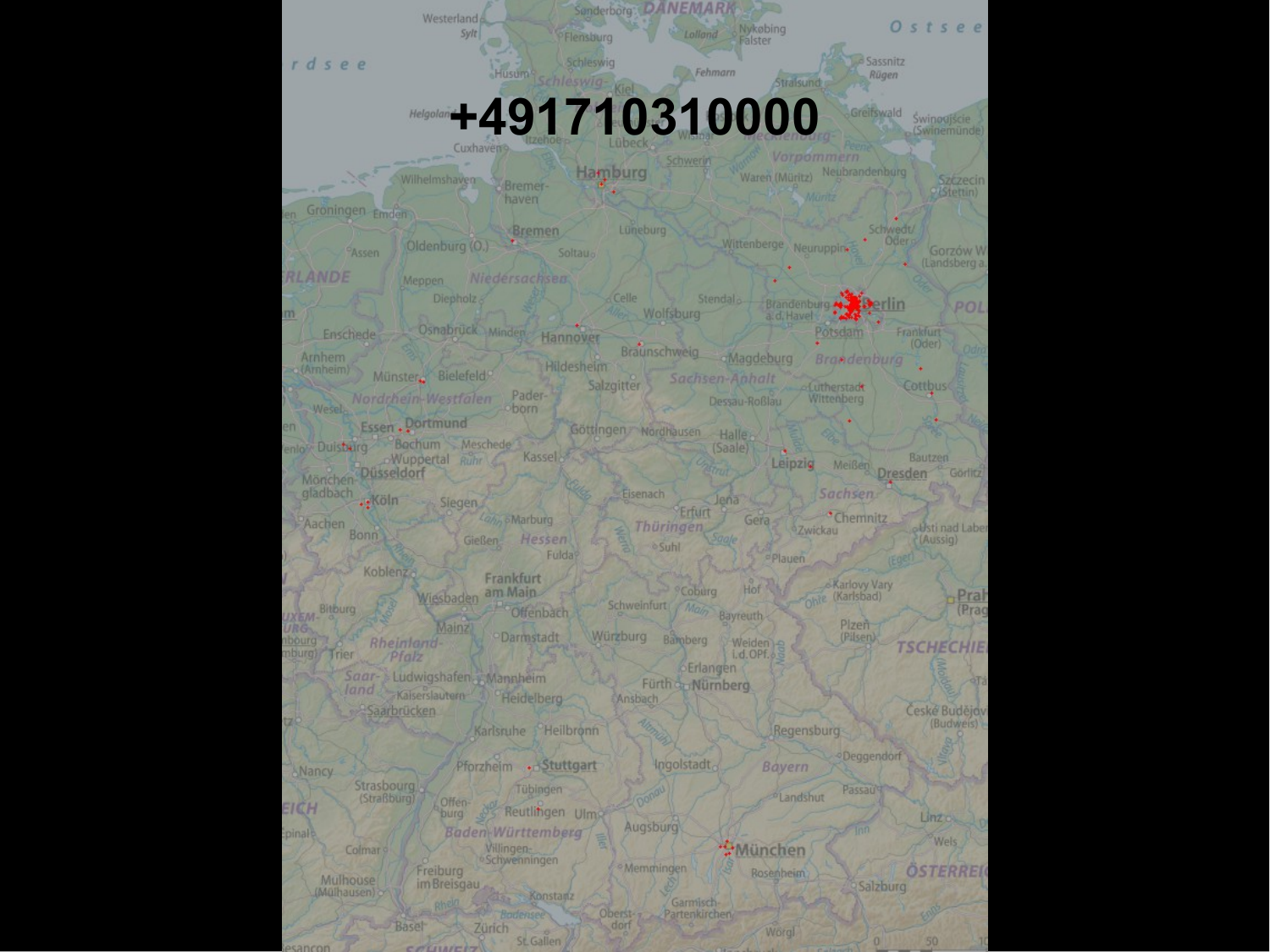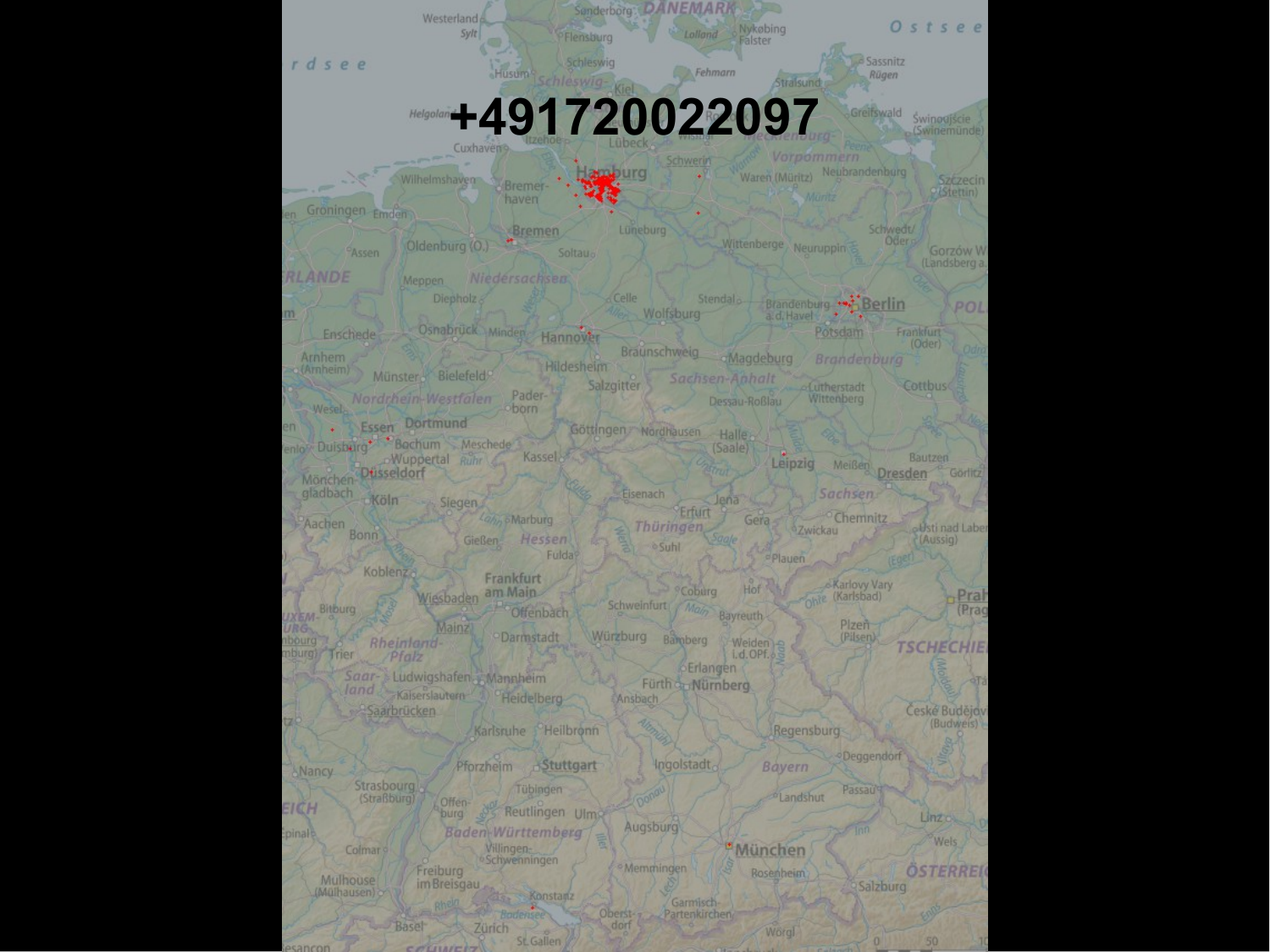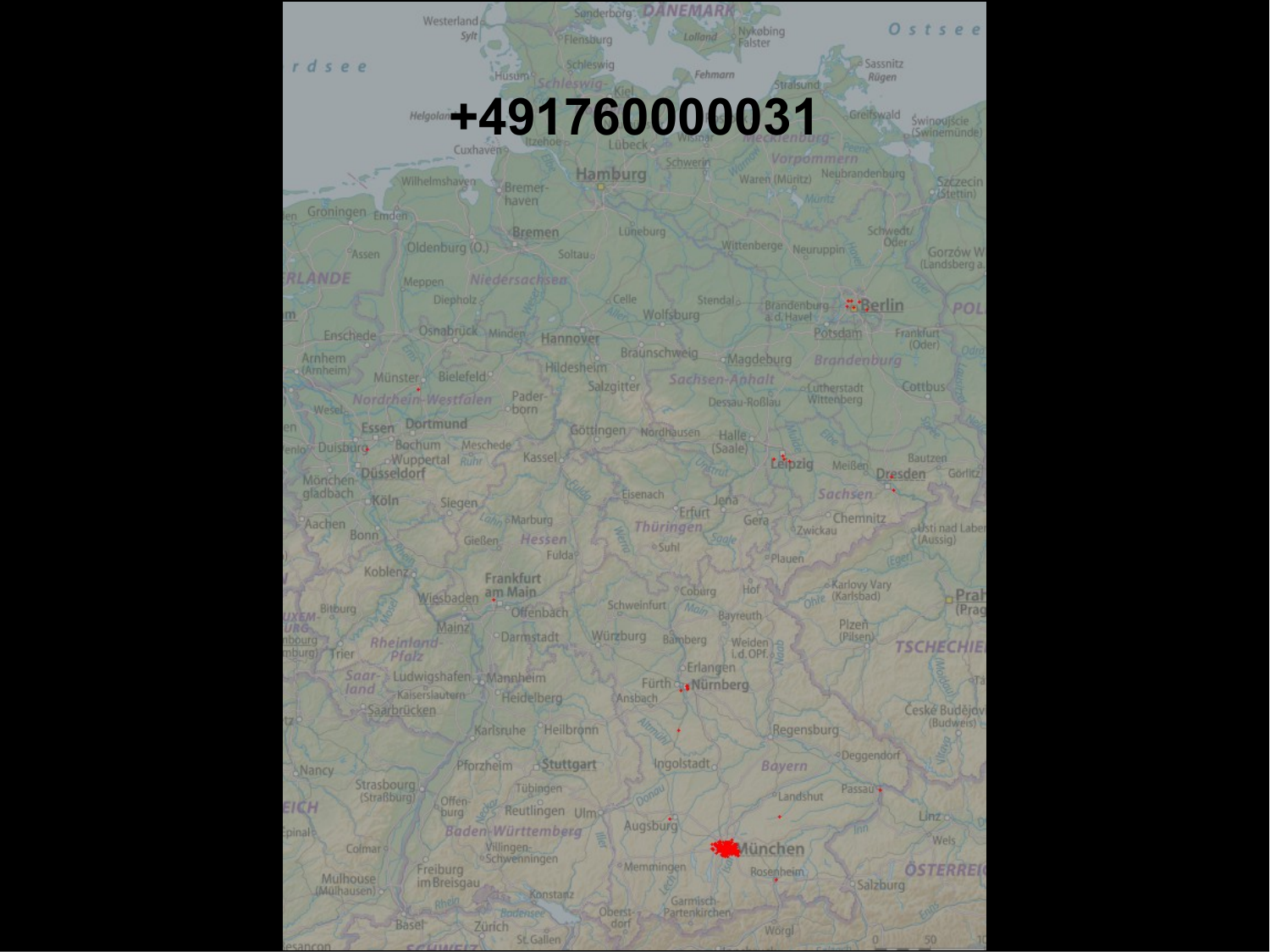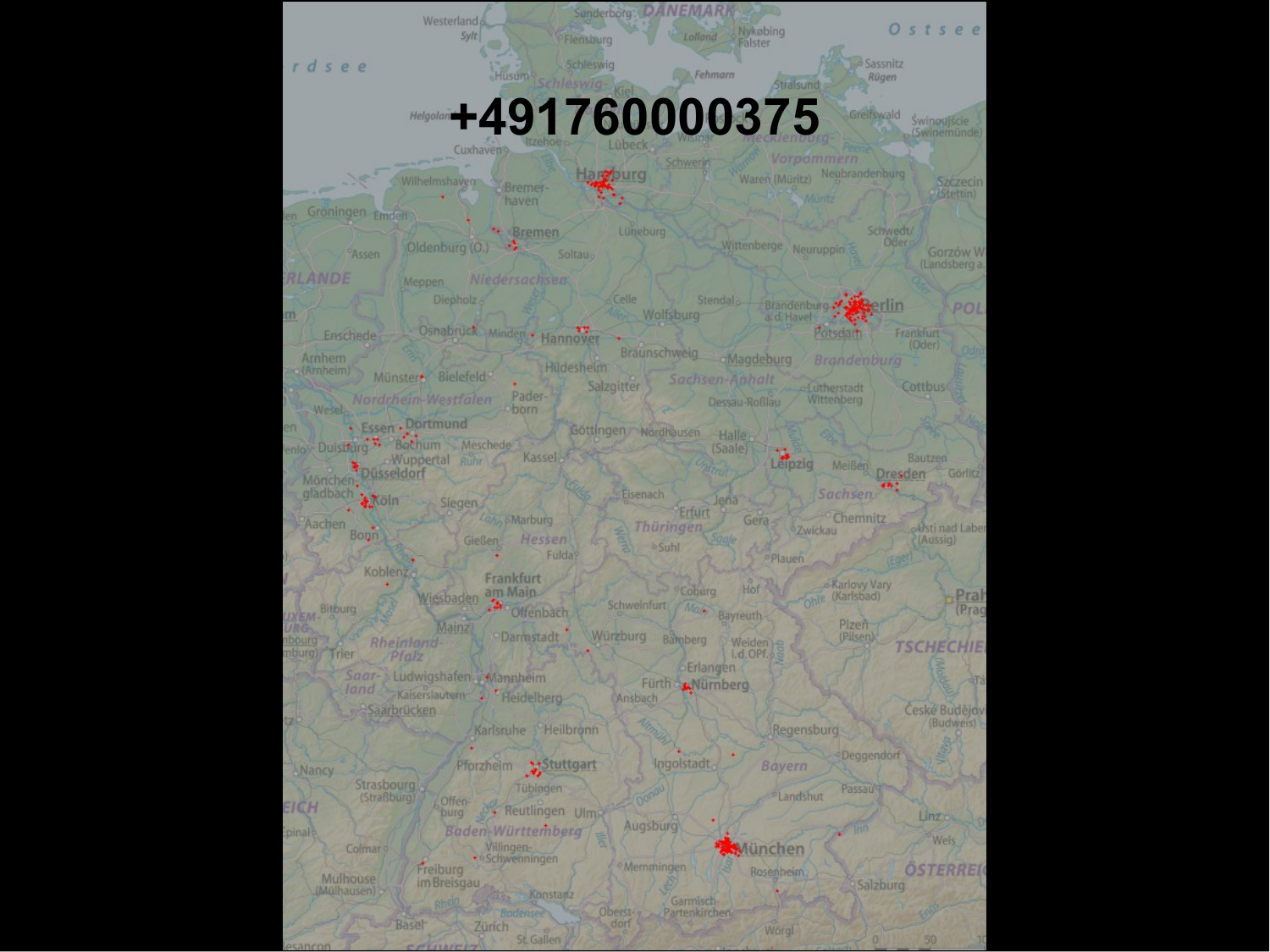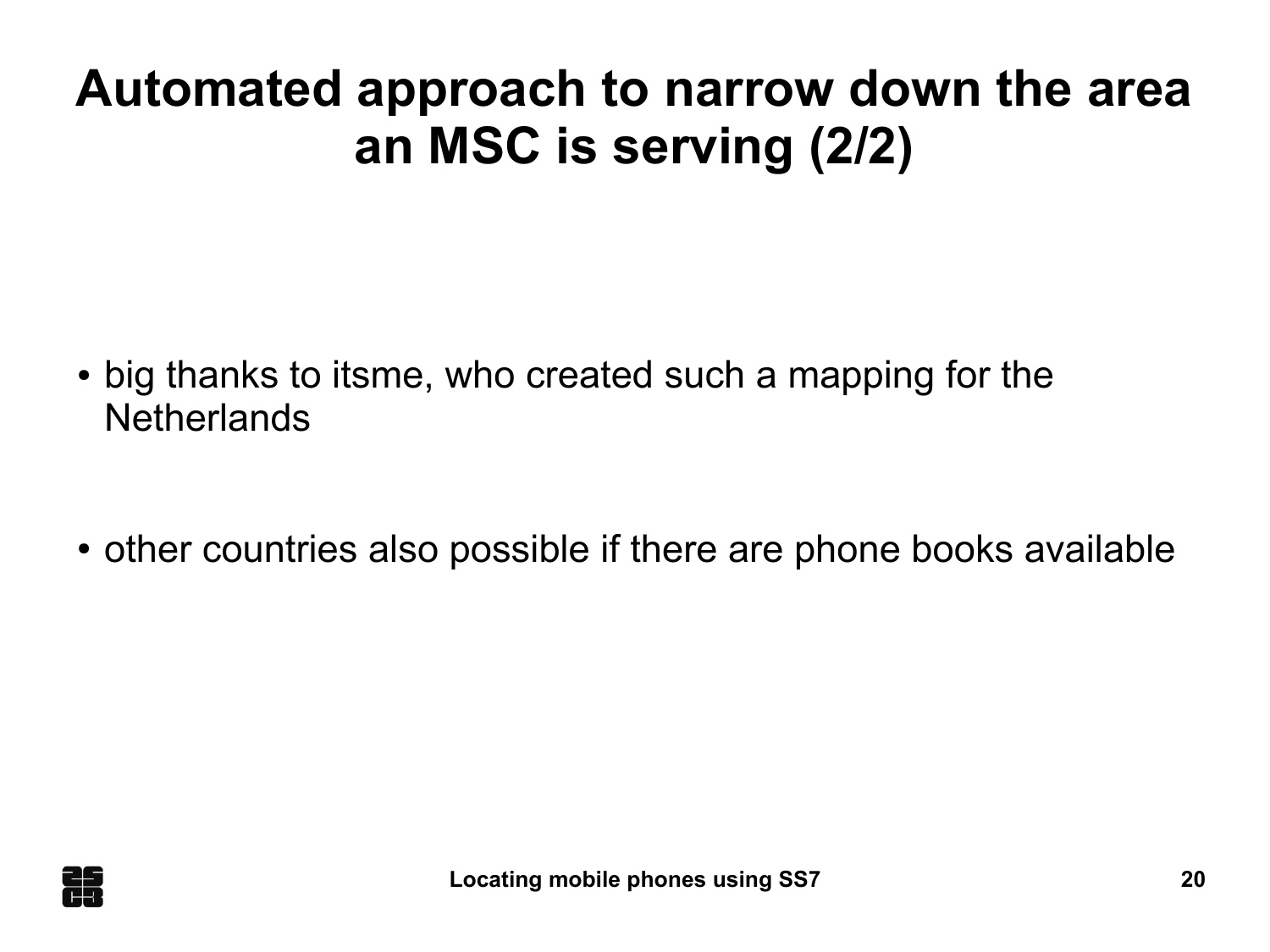#### **Automated approach to narrow down the area an MSC is serving (2/2)**

- big thanks to itsme, who created such a mapping for the **Netherlands**
- other countries also possible if there are phone books available

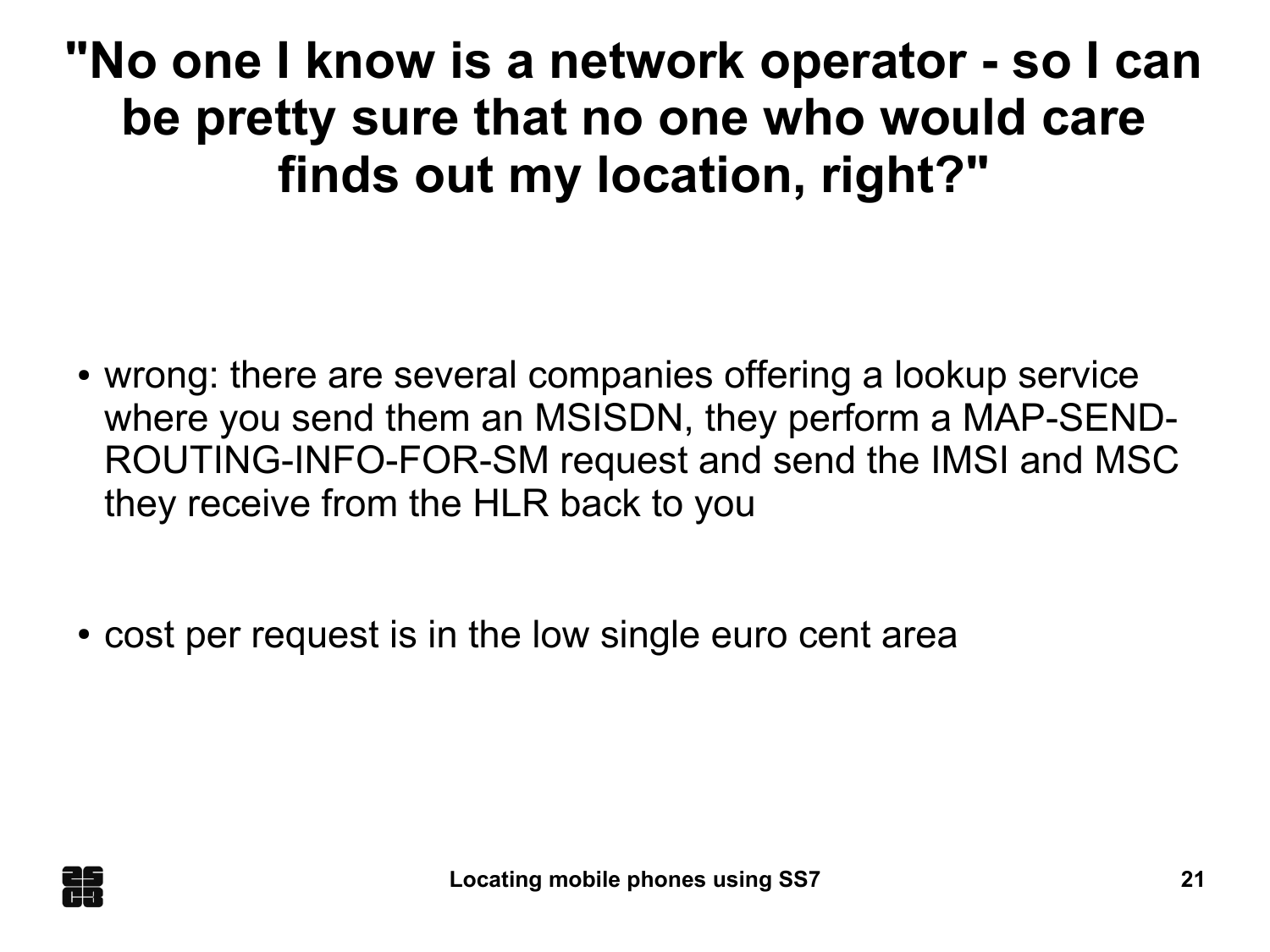**"No one I know is a network operator - so I can be pretty sure that no one who would care finds out my location, right?"**

- wrong: there are several companies offering a lookup service where you send them an MSISDN, they perform a MAP-SEND-ROUTING-INFO-FOR-SM request and send the IMSI and MSC they receive from the HLR back to you
- cost per request is in the low single euro cent area

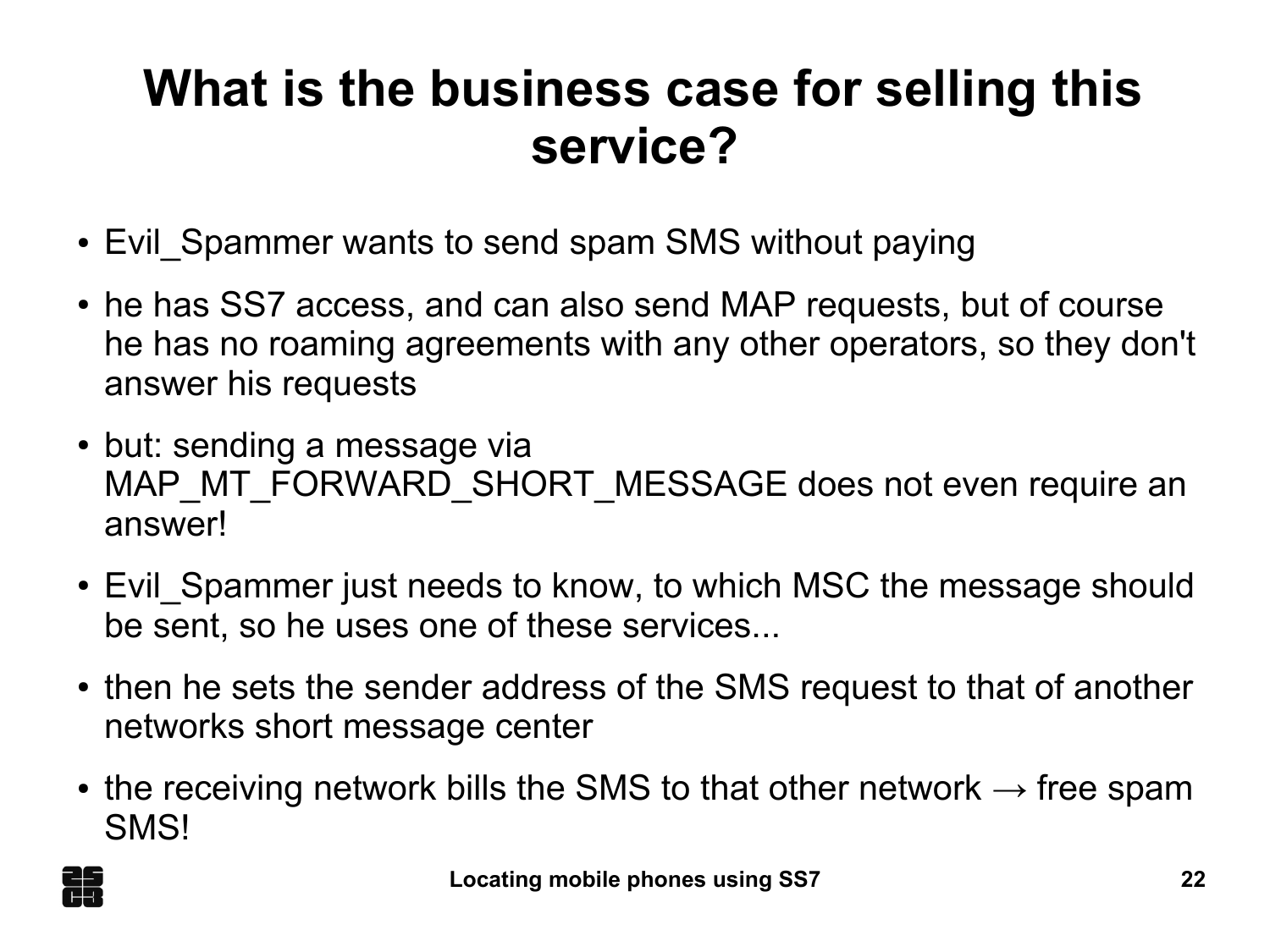#### **What is the business case for selling this service?**

- Evil Spammer wants to send spam SMS without paying
- he has SS7 access, and can also send MAP requests, but of course he has no roaming agreements with any other operators, so they don't answer his requests
- but: sending a message via MAP\_MT\_FORWARD\_SHORT\_MESSAGE does not even require an answer!
- Evil Spammer just needs to know, to which MSC the message should be sent, so he uses one of these services...
- then he sets the sender address of the SMS request to that of another networks short message center
- the receiving network bills the SMS to that other network  $\rightarrow$  free spam SMS!

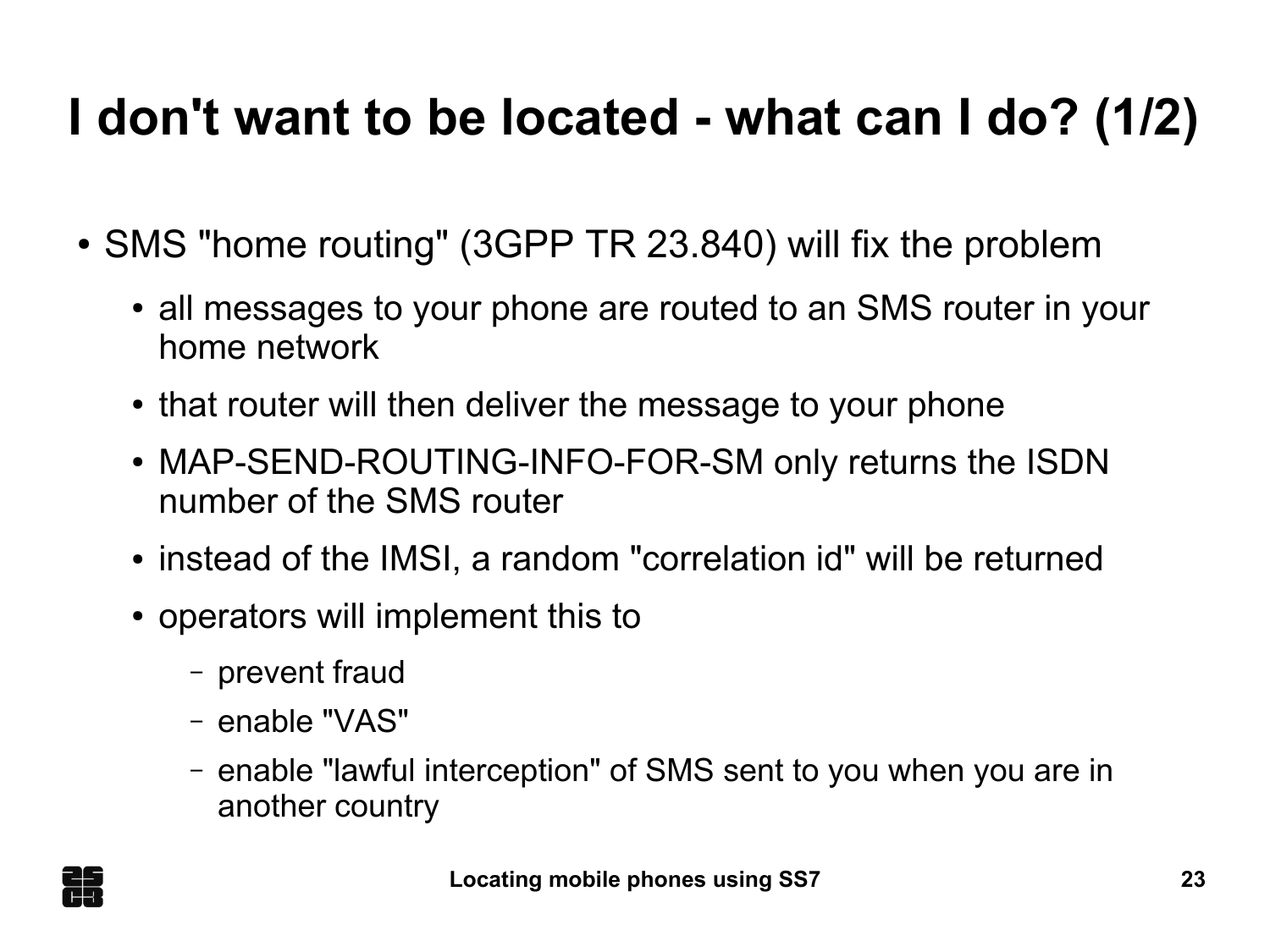## **I don't want to be located - what can I do? (1/2)**

- SMS "home routing" (3GPP TR 23.840) will fix the problem
	- all messages to your phone are routed to an SMS router in your home network
	- that router will then deliver the message to your phone
	- MAP-SEND-ROUTING-INFO-FOR-SM only returns the ISDN number of the SMS router
	- instead of the IMSI, a random "correlation id" will be returned
	- operators will implement this to
		- prevent fraud
		- enable "VAS"
		- enable "lawful interception" of SMS sent to you when you are in another country

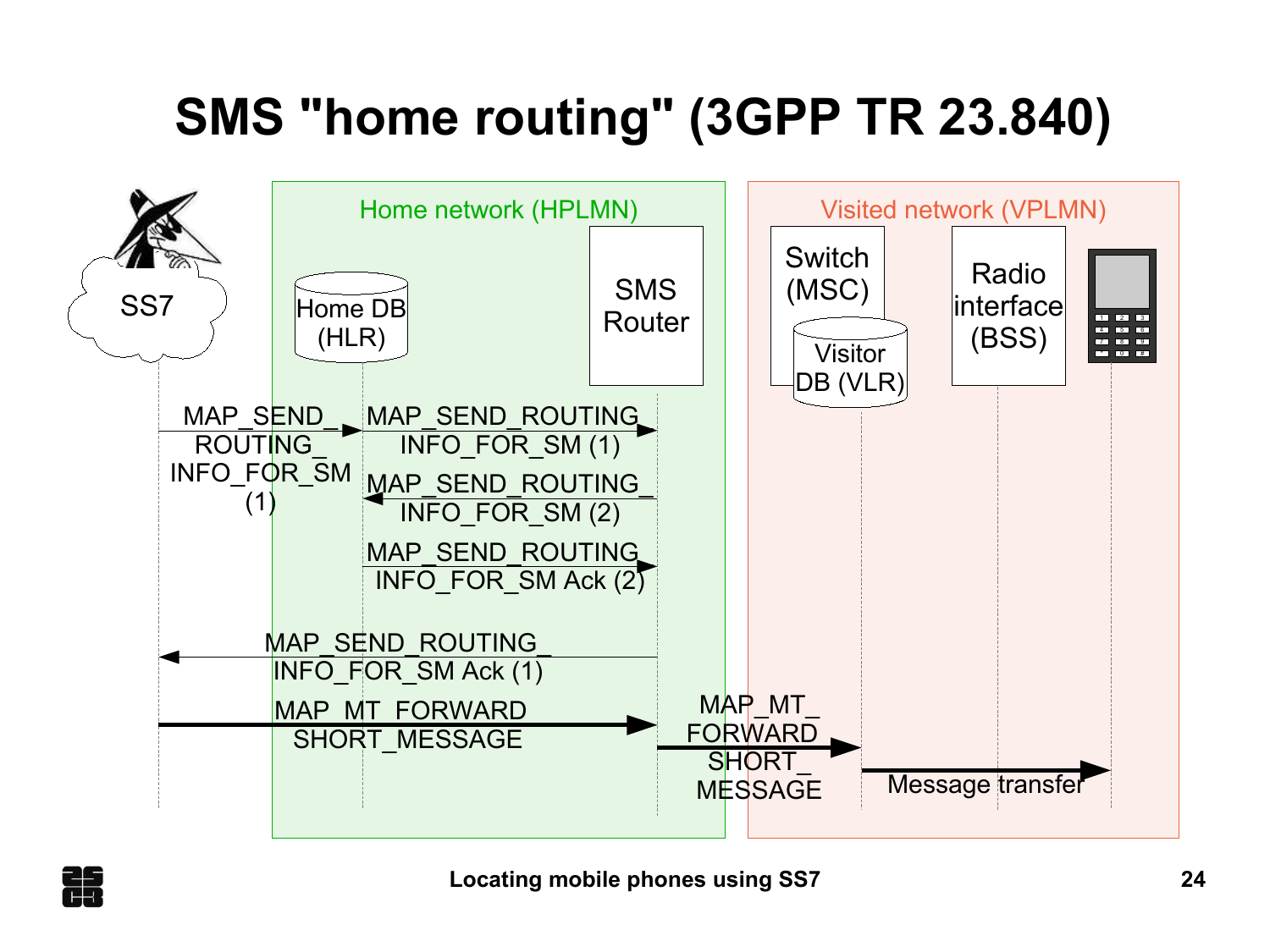# **SMS "home routing" (3GPP TR 23.840)**



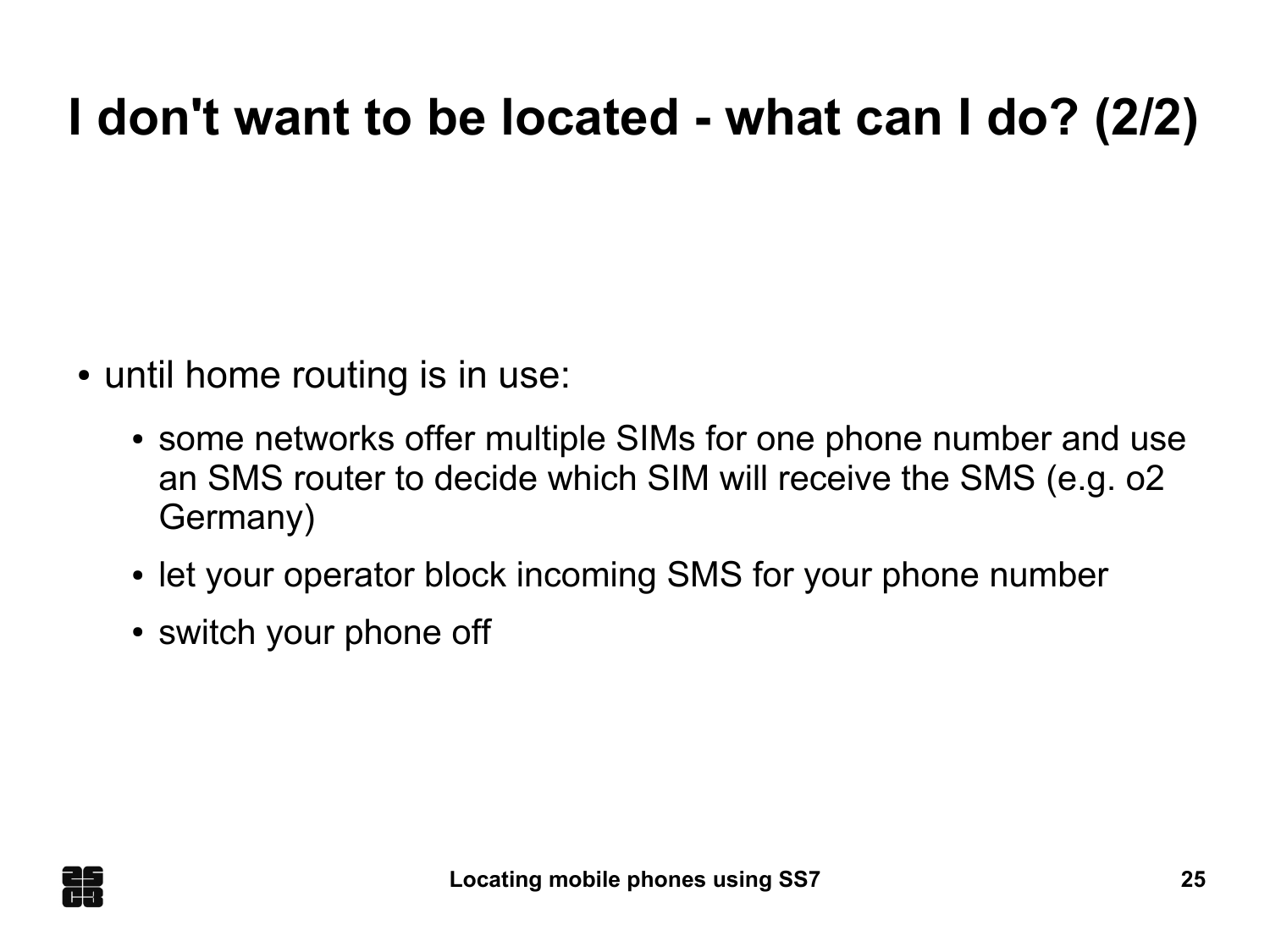## **I don't want to be located - what can I do? (2/2)**

- until home routing is in use:
	- some networks offer multiple SIMs for one phone number and use an SMS router to decide which SIM will receive the SMS (e.g. o2 Germany)
	- let your operator block incoming SMS for your phone number
	- switch your phone off

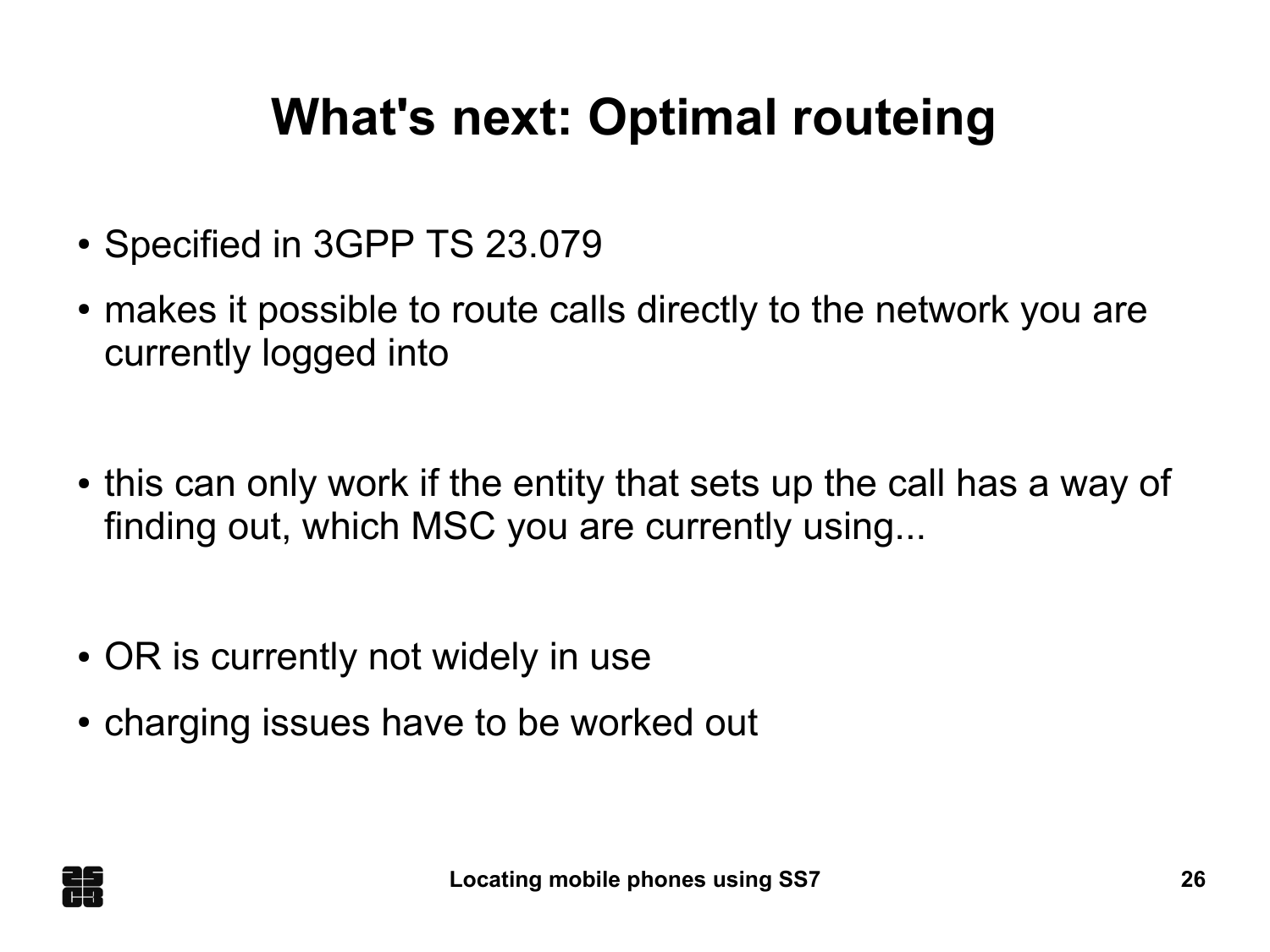## **What's next: Optimal routeing**

- Specified in 3GPP TS 23.079
- makes it possible to route calls directly to the network you are currently logged into
- this can only work if the entity that sets up the call has a way of finding out, which MSC you are currently using...
- OR is currently not widely in use
- charging issues have to be worked out

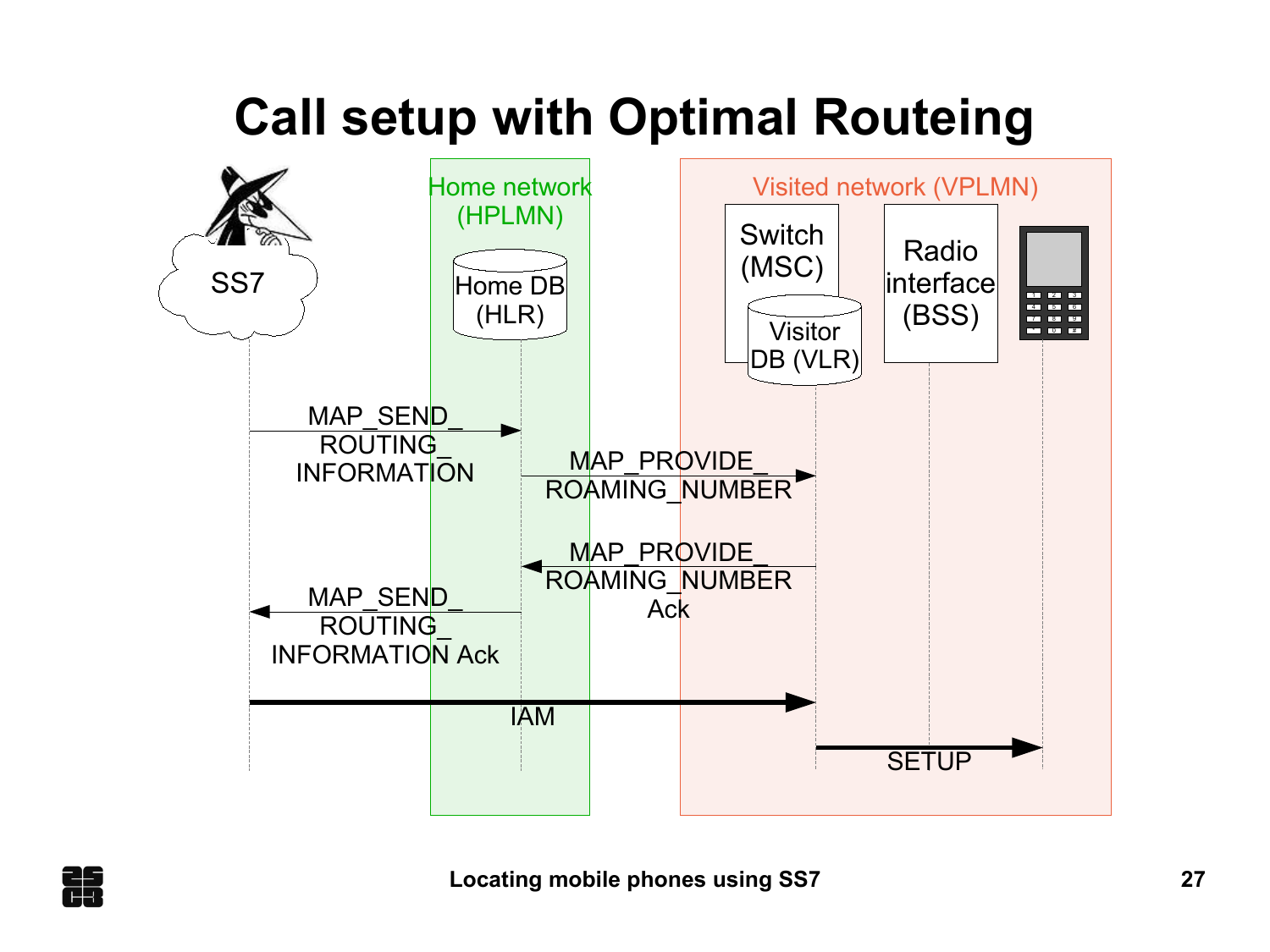# **Call setup with Optimal Routeing**



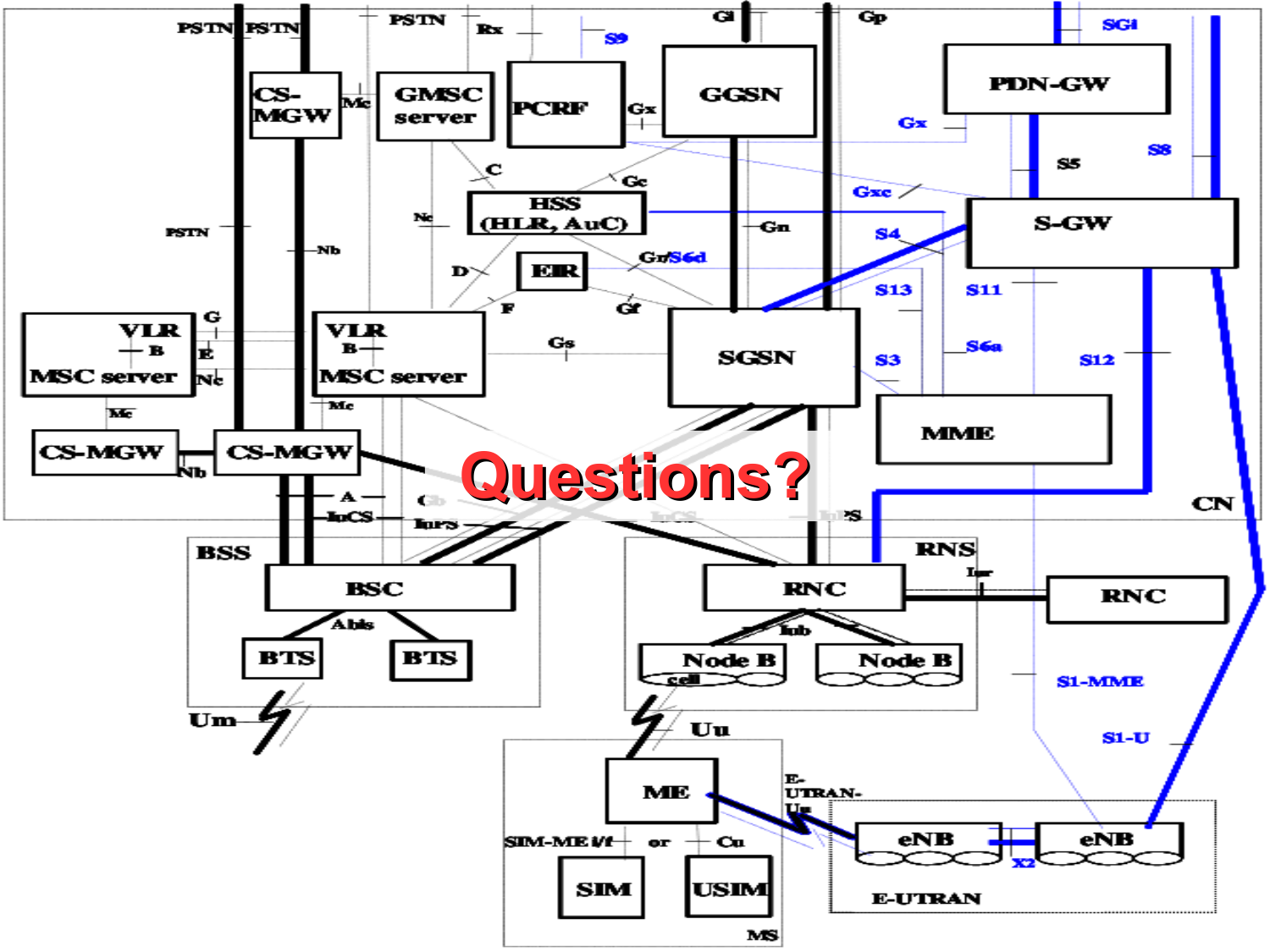